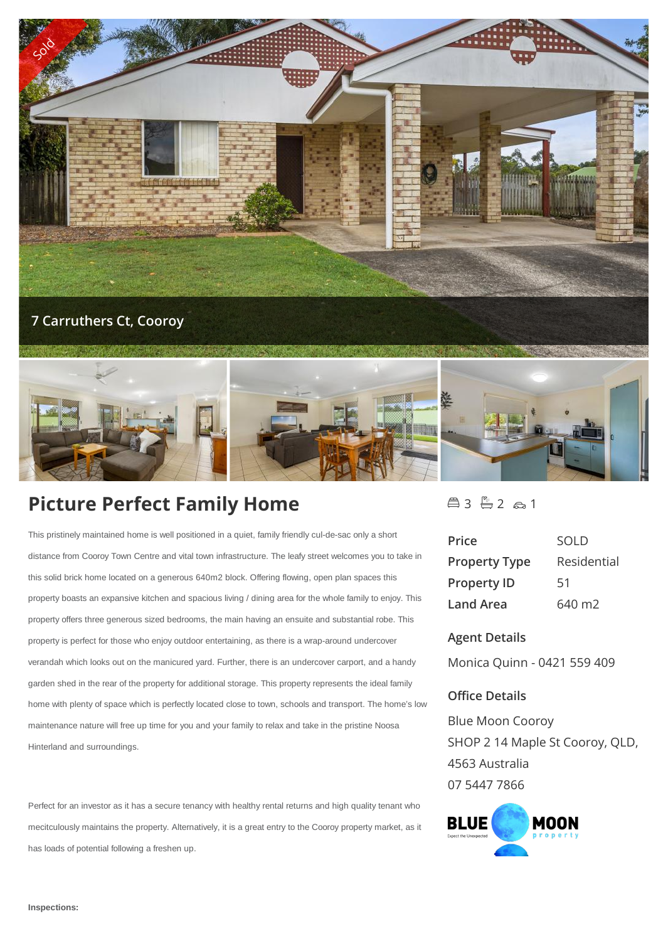



# **Picture Perfect Family Home**

This pristinely maintained home is well positioned in a quiet, family friendly cul-de-sac only a short distance from Cooroy Town Centre and vital town infrastructure. The leafy street welcomes you to take in this solid brick home located on a generous 640m2 block. Offering flowing, open plan spaces this property boasts an expansive kitchen and spacious living / dining area for the whole family to enjoy. This property offers three generous sized bedrooms, the main having an ensuite and substantial robe. This property is perfect for those who enjoy outdoor entertaining, as there is a wrap-around undercover verandah which looks out on the manicured yard. Further, there is an undercover carport, and a handy garden shed in the rear of the property for additional storage. This property represents the ideal family home with plenty of space which is perfectly located close to town, schools and transport. The home's low maintenance nature will free up time for you and your family to relax and take in the pristine Noosa Hinterland and surroundings.

Perfect for an investor as it has a secure tenancy with healthy rental returns and high quality tenant who mecitculously maintains the property. Alternatively, it is a great entry to the Cooroy property market, as it has loads of potential following a freshen up.

 $43 - 2 61$ 

| Price                | <b>SOLD</b> |
|----------------------|-------------|
| <b>Property Type</b> | Residential |
| <b>Property ID</b>   | 51          |
| Land Area            | 640 m2      |

## **Agent Details**

Monica Quinn - 0421 559 409

## **Office Details**

Blue Moon Cooroy SHOP 2 14 Maple St Cooroy, QLD, 4563 Australia 07 5447 7866